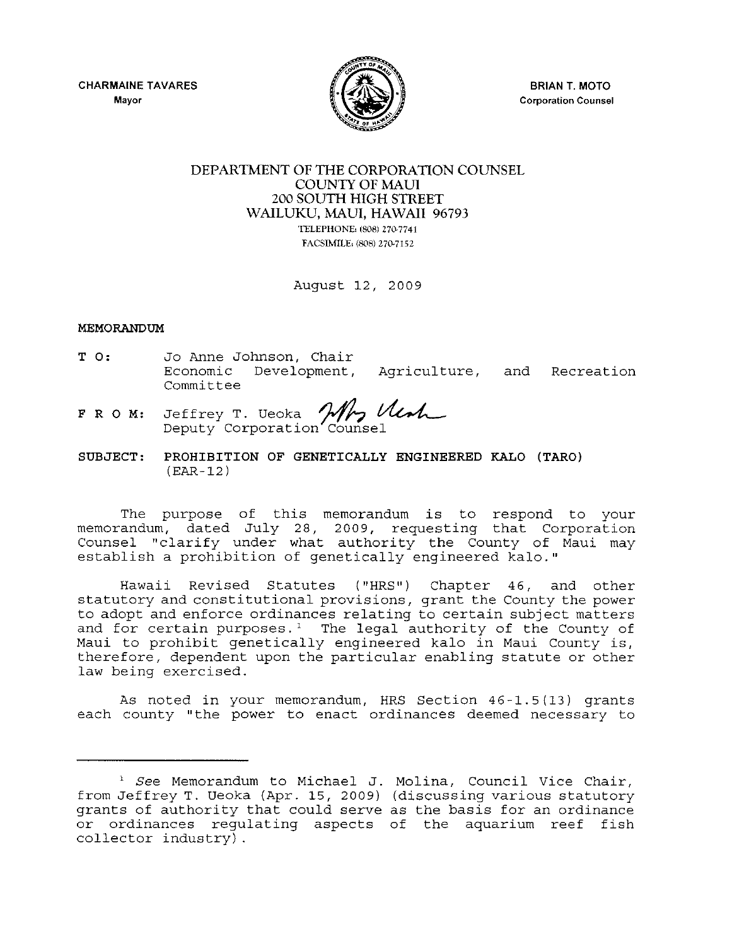CHARMAINE TAVARES **Mayor** 



BRIAN T. MOTO **Corporation Counsel** 

## DEPARTMENT OF THE CORPORATION COUNSEL COUNTY OF MAUl 200 SOUTH HIGH STREET WAILUKU, MAUl, HAWAII 96793 TELEPHONE. (S08) 270-7741 FACSIMILE: (808) 270-7152

August 12, 2009

## MEMORANDUM

- T 0: Jo Anne Johnson, Chair Economic Development, Agriculture, and Recreation Committee Development, Agriculture, and<br>
T. Ueoka *Mr, Mush*<br>
orporation Counsel
- F R O M: Jeffrey Deputy Corporation Counsel
- SUBJECT: PROHIBITION OF GENETICALLY ENGINEERED KALO (TARO) (EAR-12)

The purpose of this memorandum is to respond to your memorandum, dated July 28, 2009, requesting that Corporation Counsel "clarify under what authority the County of Maui may establish a prohibition of genetically engineered kalo."

Hawaii Revised Statutes ("HRS") Chapter 46, and other statutory and constitutional provisions, grant the County the power to adopt and enforce ordinances relating to certain subject matters and for certain purposes. ' The legal authority of the County of Maui to prohibit genetically engineered kalo in Maui County is, therefore, dependent upon the particular enabling statute or other law being exercised.

As noted in your memorandum, HRS Section 46-1.5(13) grants each county "the power to enact ordinances deemed necessary to

<sup>1</sup>*See* Memorandum to Michael J. Molina, Council Vice Chair, from Jeffrey T. Ueoka (Apr. 15, 2009) (discussing various statutory grants of authority that could serve as the basis for an ordinance or ordinances regulating aspects of the aquarium reef fish collector industry) .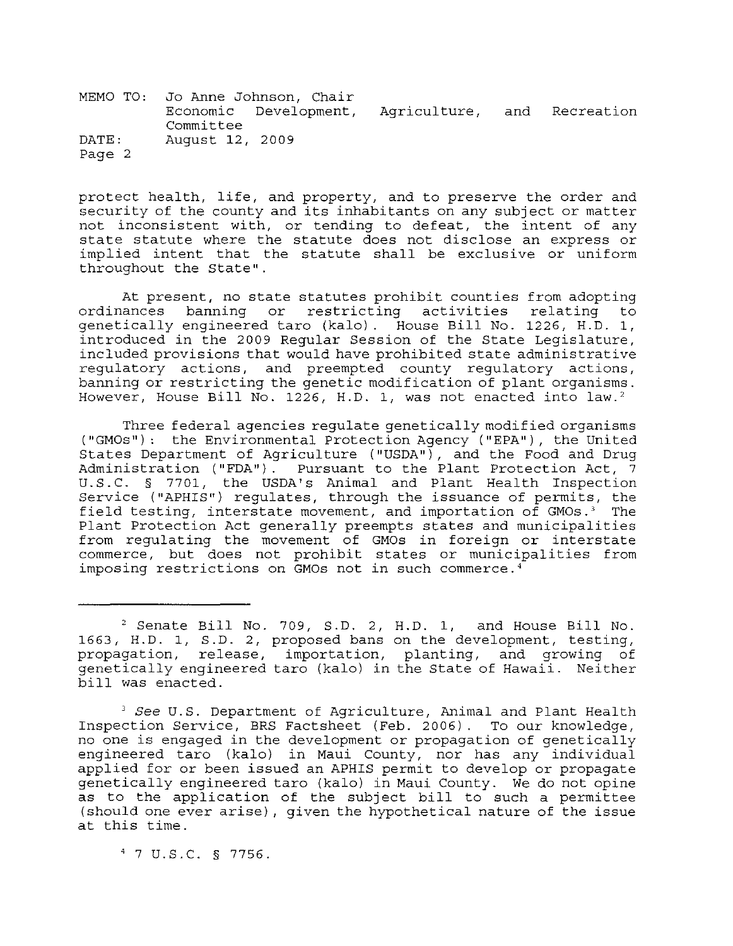MEMO TO: Jo Anne Johnson, Chair Economic Development, Agriculture, and Recreation Committee DATE: August 12, 2009 Page 2

protect health, life, and property, and to preserve the order and security of the county and its inhabitants on any Subject or matter not inconsistent with, or tending to defeat, the intent of any state statute where the statute does not disclose an express or implied intent that the statute shall be exclusive or uniform throughout the state".

At present, no state statutes prohibit counties from adopting ordinances banning or restricting activities relating to genetically engineered taro (kalo). House Bill No. 1226, H.D. 1, introduced in the 2009 Regular Session of the State Legislature, included provisions that would have prohibited state administrative regulatory actions, and preempted county regulatory actions, banning or restricting the genetic modification of plant organisms. However, House Bill No. 1226, H.D. 1, was not enacted into law.<sup>2</sup>

Three federal agencies regulate genetically modified organisms ("GMOs"): the Environmental Protection Agency ("EPA"), the United States Department of Agriculture ("USDA"), and the Food and Drug Administration ("FDA"). Pursuant to the Plant Protection Act, 7 U.S.C. § 7701, the USDA's Animal and Plant Health Inspection Service ("APHIS") regulates, through the issuance of permits, the field testing, interstate movement, and importation of GMOs.<sup>3</sup> The Plant Protection Act generally preempts states and municipalities from regulating the movement of GMOs in foreign or interstate commerce, but does not prohibit states or municipalities from imposing restrictions on GMOs not in such commerce.<sup>4</sup>

4 7 U.S.C. § 7756.

<sup>2</sup> Senate Bill No. 709, S.D. 2, H.D. 1, and House Bill No. 1663, H.D. 1, S.D. 2, proposed bans on the development, testing, propagation, release, importation, planting, and growing of genetically engineered taro (kalo) in the State of Hawaii. Neither bill was enacted.

*<sup>3</sup> See* U.S. Department of Agriculture, Animal and Plant Health Inspection Service, BRS Factsheet (Feb. 2006). To our knowledge, no one is engaged in the development or propagation of genetically engineered taro (kalo) in Maui County, nor has any individual applied for or been issued an APHIS permit to develop or propagate genetically engineered taro (kalo) in Maui County. We do not opine as to the application of the subject bill to such a permittee (should one ever arise), given the hypothetical nature of the issue at this time.